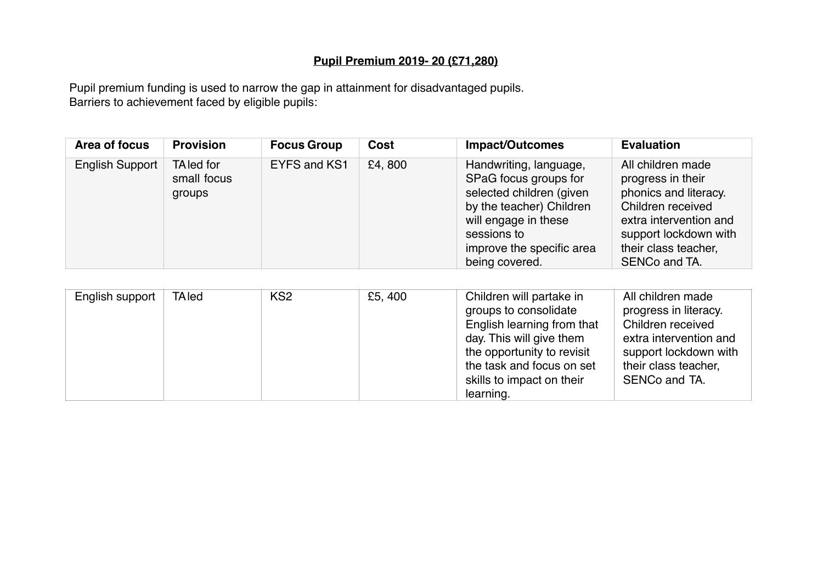## **Pupil Premium 2019- 20 (£71,280)**

Pupil premium funding is used to narrow the gap in attainment for disadvantaged pupils. Barriers to achievement faced by eligible pupils:

| Area of focus          | <b>Provision</b>                    | <b>Focus Group</b> | Cost   | <b>Impact/Outcomes</b>                                                                                                                                                                        | <b>Evaluation</b>                                                                                                                                                                |
|------------------------|-------------------------------------|--------------------|--------|-----------------------------------------------------------------------------------------------------------------------------------------------------------------------------------------------|----------------------------------------------------------------------------------------------------------------------------------------------------------------------------------|
| <b>English Support</b> | TA led for<br>small focus<br>groups | EYFS and KS1       | £4,800 | Handwriting, language,<br>SPaG focus groups for<br>selected children (given<br>by the teacher) Children<br>will engage in these<br>sessions to<br>improve the specific area<br>being covered. | All children made<br>progress in their<br>phonics and literacy.<br>Children received<br>extra intervention and<br>support lockdown with<br>their class teacher,<br>SENCo and TA. |

| English support | <b>TA</b> led | KS <sub>2</sub> | £5, 400 | Children will partake in<br>groups to consolidate<br>English learning from that<br>day. This will give them | All children made<br>progress in literacy.<br>Children received<br>extra intervention and |
|-----------------|---------------|-----------------|---------|-------------------------------------------------------------------------------------------------------------|-------------------------------------------------------------------------------------------|
|                 |               |                 |         |                                                                                                             |                                                                                           |
|                 |               |                 |         | the opportunity to revisit                                                                                  | support lockdown with                                                                     |
|                 |               |                 |         | the task and focus on set                                                                                   | their class teacher,                                                                      |
|                 |               |                 |         | skills to impact on their                                                                                   | SENCo and TA.                                                                             |
|                 |               |                 |         | learning.                                                                                                   |                                                                                           |
|                 |               |                 |         |                                                                                                             |                                                                                           |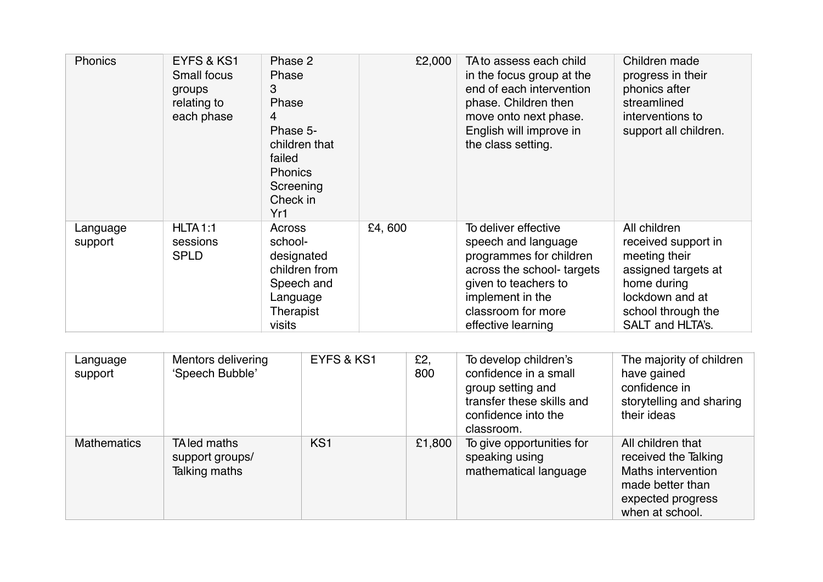| Phonics             | EYFS & KS1<br><b>Small focus</b><br>groups<br>relating to<br>each phase | Phase 2<br>Phase<br>3<br>Phase<br>4<br>Phase 5-<br>children that<br>failed<br><b>Phonics</b><br>Screening<br>Check in<br>Yr1 | £2,000 | TA to assess each child<br>in the focus group at the<br>end of each intervention<br>phase. Children then<br>move onto next phase.<br>English will improve in<br>the class setting.           | Children made<br>progress in their<br>phonics after<br>streamlined<br>interventions to<br>support all children.                                         |
|---------------------|-------------------------------------------------------------------------|------------------------------------------------------------------------------------------------------------------------------|--------|----------------------------------------------------------------------------------------------------------------------------------------------------------------------------------------------|---------------------------------------------------------------------------------------------------------------------------------------------------------|
| Language<br>support | HLTA <sub>1:1</sub><br>sessions<br><b>SPLD</b>                          | Across<br>school-<br>designated<br>children from<br>Speech and<br>Language<br>Therapist<br>visits                            | £4,600 | To deliver effective<br>speech and language<br>programmes for children<br>across the school- targets<br>given to teachers to<br>implement in the<br>classroom for more<br>effective learning | All children<br>received support in<br>meeting their<br>assigned targets at<br>home during<br>lockdown and at<br>school through the<br>SALT and HLTA's. |

| Language<br>support | Mentors delivering<br>'Speech Bubble'            | EYFS & KS1      | £2,<br>800 | To develop children's<br>confidence in a small<br>group setting and<br>transfer these skills and<br>confidence into the<br>classroom. | The majority of children<br>have gained<br>confidence in<br>storytelling and sharing<br>their ideas                         |
|---------------------|--------------------------------------------------|-----------------|------------|---------------------------------------------------------------------------------------------------------------------------------------|-----------------------------------------------------------------------------------------------------------------------------|
| <b>Mathematics</b>  | TA led maths<br>support groups/<br>Talking maths | KS <sub>1</sub> | £1,800     | To give opportunities for<br>speaking using<br>mathematical language                                                                  | All children that<br>received the Talking<br>Maths intervention<br>made better than<br>expected progress<br>when at school. |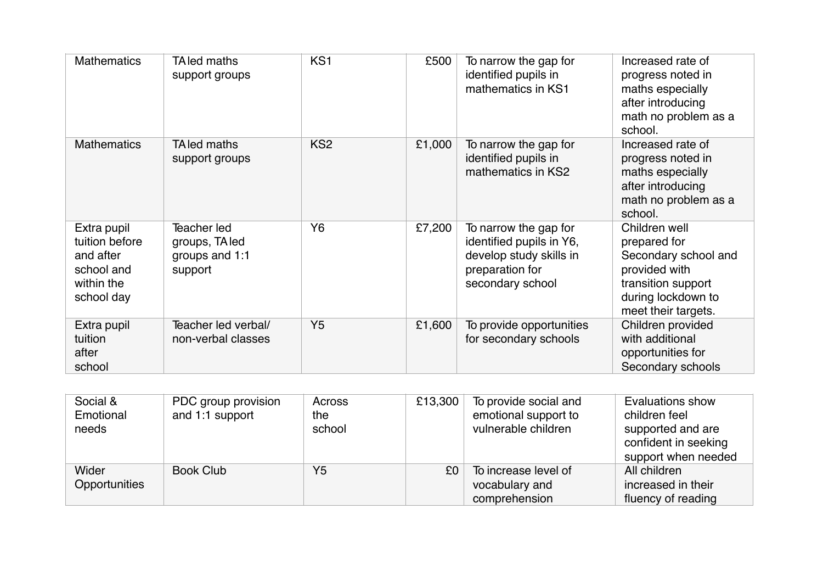| <b>Mathematics</b>                                                                   | TA led maths<br>support groups                             | KS <sub>1</sub> | £500   | To narrow the gap for<br>identified pupils in<br>mathematics in KS1                                                 | Increased rate of<br>progress noted in<br>maths especially<br>after introducing<br>math no problem as a<br>school.                        |
|--------------------------------------------------------------------------------------|------------------------------------------------------------|-----------------|--------|---------------------------------------------------------------------------------------------------------------------|-------------------------------------------------------------------------------------------------------------------------------------------|
| <b>Mathematics</b>                                                                   | TA led maths<br>support groups                             | KS <sub>2</sub> | £1,000 | To narrow the gap for<br>identified pupils in<br>mathematics in KS2                                                 | Increased rate of<br>progress noted in<br>maths especially<br>after introducing<br>math no problem as a<br>school.                        |
| Extra pupil<br>tuition before<br>and after<br>school and<br>within the<br>school day | Teacher led<br>groups, TA led<br>groups and 1:1<br>support | Y <sub>6</sub>  | £7,200 | To narrow the gap for<br>identified pupils in Y6,<br>develop study skills in<br>preparation for<br>secondary school | Children well<br>prepared for<br>Secondary school and<br>provided with<br>transition support<br>during lockdown to<br>meet their targets. |
| Extra pupil<br>tuition<br>after<br>school                                            | Teacher led verbal/<br>non-verbal classes                  | Y <sub>5</sub>  | £1,600 | To provide opportunities<br>for secondary schools                                                                   | Children provided<br>with additional<br>opportunities for<br>Secondary schools                                                            |

| Social &<br>Emotional<br>needs | PDC group provision<br>and 1:1 support | Across<br>the<br>school | £13,300 | To provide social and<br>emotional support to<br>vulnerable children | Evaluations show<br>children feel<br>supported and are<br>confident in seeking<br>support when needed |
|--------------------------------|----------------------------------------|-------------------------|---------|----------------------------------------------------------------------|-------------------------------------------------------------------------------------------------------|
| Wider<br>Opportunities         | Book Club                              | Y <sub>5</sub>          | £0      | To increase level of<br>vocabulary and<br>comprehension              | All children<br>increased in their<br>fluency of reading                                              |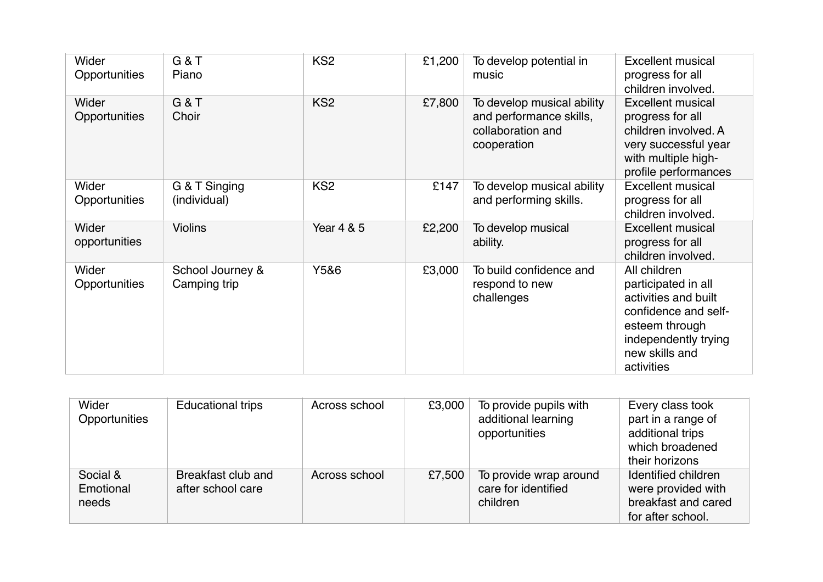| Wider<br>Opportunities | G&T<br>Piano                     | KS <sub>2</sub> | £1,200 | To develop potential in<br>music                                                          | <b>Excellent musical</b><br>progress for all<br>children involved.                                                                                            |
|------------------------|----------------------------------|-----------------|--------|-------------------------------------------------------------------------------------------|---------------------------------------------------------------------------------------------------------------------------------------------------------------|
| Wider<br>Opportunities | G&T<br>Choir                     | KS <sub>2</sub> | £7,800 | To develop musical ability<br>and performance skills,<br>collaboration and<br>cooperation | <b>Excellent musical</b><br>progress for all<br>children involved. A<br>very successful year<br>with multiple high-<br>profile performances                   |
| Wider<br>Opportunities | G & T Singing<br>(individual)    | KS <sub>2</sub> | £147   | To develop musical ability<br>and performing skills.                                      | <b>Excellent musical</b><br>progress for all<br>children involved.                                                                                            |
| Wider<br>opportunities | <b>Violins</b>                   | Year 4 & 5      | £2,200 | To develop musical<br>ability.                                                            | <b>Excellent musical</b><br>progress for all<br>children involved.                                                                                            |
| Wider<br>Opportunities | School Journey &<br>Camping trip | Y5&6            | £3,000 | To build confidence and<br>respond to new<br>challenges                                   | All children<br>participated in all<br>activities and built<br>confidence and self-<br>esteem through<br>independently trying<br>new skills and<br>activities |

| Wider<br>Opportunities         | <b>Educational trips</b>                | Across school | £3,000 | To provide pupils with<br>additional learning<br>opportunities | Every class took<br>part in a range of<br>additional trips<br>which broadened<br>their horizons |
|--------------------------------|-----------------------------------------|---------------|--------|----------------------------------------------------------------|-------------------------------------------------------------------------------------------------|
| Social &<br>Emotional<br>needs | Breakfast club and<br>after school care | Across school | £7,500 | To provide wrap around<br>care for identified<br>children      | Identified children<br>were provided with<br>breakfast and cared<br>for after school.           |